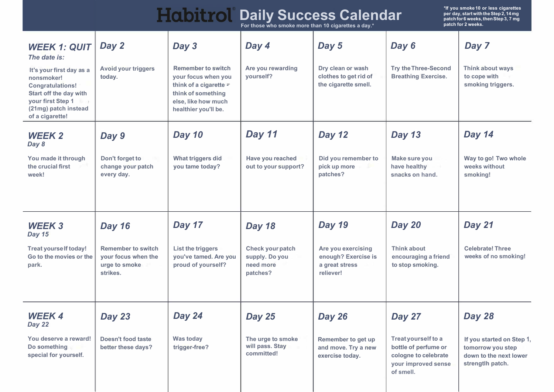| <b>Habitrol Daily Success Calendar</b>              |  |  |  |
|-----------------------------------------------------|--|--|--|
| For those who smoke more than 10 cigarettes a day.* |  |  |  |

**\*If you smoke 10 or less cigarettes per day, start with the Step 2, 14 mg patch for 6 weeks, then Step 3, 7 mg patch for 2 weeks.**

| <b>WEEK 1: QUIT</b><br>The date is:<br>It's your first day as<br>a nonsmoker!<br><b>Congratulations!</b><br>Start off the day with<br>your first Step 1<br>(21mg) patch instead<br>of a cigarette! | Day 2<br><b>Avoid your triggers</b><br>today.                                 | Day 3<br><b>Remember to switch</b><br>your focus when you<br>think of a cigarette -<br>think of something<br>else, like how much<br>healthier you'll be. | Day 4<br>Are you rewarding<br>yourself?                     | Day 5<br>Dry clean or wash<br>clothes to get rid of<br>the cigarette smell. | Day 6<br><b>Try the Three-Second</b><br><b>Breathing Exercise.</b>       | Day 7<br>Think about ways<br>to cope with<br>smoking triggers. |
|----------------------------------------------------------------------------------------------------------------------------------------------------------------------------------------------------|-------------------------------------------------------------------------------|----------------------------------------------------------------------------------------------------------------------------------------------------------|-------------------------------------------------------------|-----------------------------------------------------------------------------|--------------------------------------------------------------------------|----------------------------------------------------------------|
| <b>WEEK 2</b><br>Day 8<br>You made it through<br>the crucial first week!                                                                                                                           | Day 9<br>Don't forget to<br>change your patch<br>every day.                   | <b>Day 10</b><br>What triggers did<br>you tame today?                                                                                                    | Day 11<br>Have you reached<br>out to your support?          | Day 12<br>Did you remember<br>to pick up more<br>patches?                   | <b>Day 13</b><br><b>Make sure you</b><br>have healthy<br>snacks on hand. | Day 14<br>Way to go! Two<br>whole weeks without<br>smoking!    |
| <b>WEEK3</b>                                                                                                                                                                                       | <b>Day 16</b>                                                                 | Day 17                                                                                                                                                   | <b>Day 18</b>                                               | <b>Day 19</b>                                                               | Day 20                                                                   | Day 21                                                         |
| <b>Day 15</b><br><b>Treat yourself today!</b><br>Go to the movies or<br>the park.                                                                                                                  | <b>Remember to</b><br>switch your focus<br>when the urge to<br>smoke strikes. | List the triggers<br>you've tamed.<br>Are you proud of<br>yourself?                                                                                      | Check your patch<br>supply. Do you<br>need more<br>patches? | Are you exercising<br>enough? Exercise<br>is a great stress<br>reliever!    | Think about<br>encouraging a friend<br>to stop smoking.                  | <b>Celebrate! Three</b><br>weeks of no smoking!                |